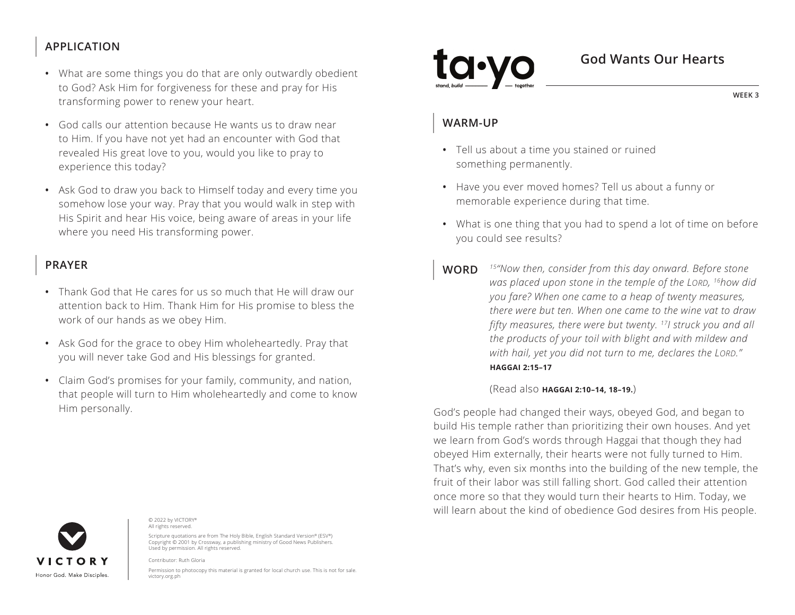### **APPLICATION**

- What are some things you do that are only outwardly obedient to God? Ask Him for forgiveness for these and pray for His transforming power to renew your heart.
- God calls our attention because He wants us to draw near to Him. If you have not yet had an encounter with God that revealed His great love to you, would you like to pray to experience this today?
- Ask God to draw you back to Himself today and every time you somehow lose your way. Pray that you would walk in step with His Spirit and hear His voice, being aware of areas in your life where you need His transforming power.

#### **PRAYER**

- Thank God that He cares for us so much that He will draw our attention back to Him. Thank Him for His promise to bless the work of our hands as we obey Him.
- Ask God for the grace to obey Him wholeheartedly. Pray that you will never take God and His blessings for granted.
- Claim God's promises for your family, community, and nation, that people will turn to Him wholeheartedly and come to know Him personally.

# **VICTORY** Honor God, Make Disciples

© 2022 by VICTORY® All rights reserved.

Scripture quotations are from The Holy Bible, English Standard Version® (ESV®) Copyright © 2001 by Crossway, a publishing ministry of Good News Publishers. Used by permission. All rights reserved.

Contributor: Ruth Gloria

Permission to photocopy this material is granted for local church use. This is not for sale. victory.org.ph

#### **God Wants Our Hearts**

**WEEK 3**

#### **WARM-UP**

- Tell us about a time you stained or ruined something permanently.
- Have you ever moved homes? Tell us about a funny or memorable experience during that time.
- What is one thing that you had to spend a lot of time on before you could see results?
- **WORD** *15"Now then, consider from this day onward. Before stone was placed upon stone in the temple of the LORD, 16how did you fare? When one came to a heap of twenty measures, there were but ten. When one came to the wine vat to draw fifty measures, there were but twenty. 17I struck you and all the products of your toil with blight and with mildew and with hail, yet you did not turn to me, declares the LORD." ^***HAGGAI 2:15–17**

#### (Read also **^HAGGAI 2:10–14, 18–19.**)

God's people had changed their ways, obeyed God, and began to build His temple rather than prioritizing their own houses. And yet we learn from God's words through Haggai that though they had obeyed Him externally, their hearts were not fully turned to Him. That's why, even six months into the building of the new temple, the fruit of their labor was still falling short. God called their attention once more so that they would turn their hearts to Him. Today, we will learn about the kind of obedience God desires from His people.